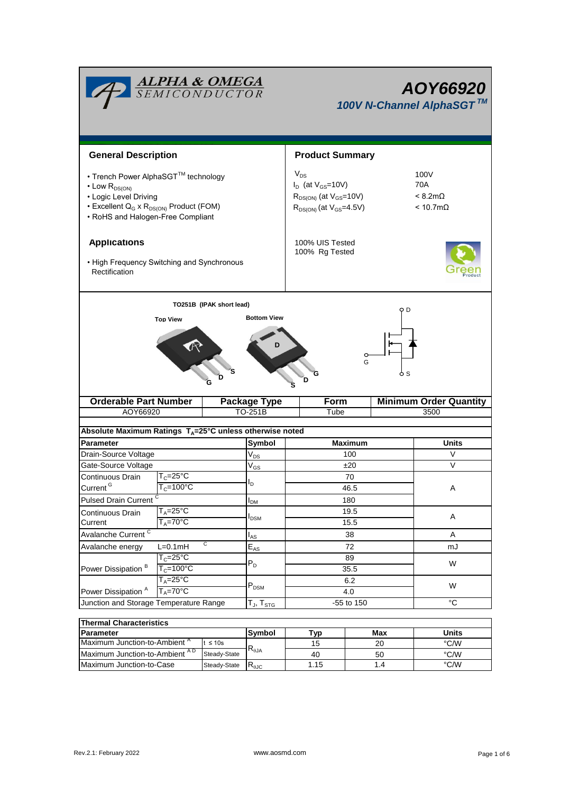

| Thermal Unaracteristics                  |              |                |      |     |       |  |  |  |  |
|------------------------------------------|--------------|----------------|------|-----|-------|--|--|--|--|
| <b>Parameter</b>                         |              | Symbol         | Typ  | Max | Units |  |  |  |  |
| Maximum Junction-to-Ambient <sup>"</sup> | $\leq 10s$   | $R_{0,IA}$     | 15   | 20  | °C/W  |  |  |  |  |
| Maximum Junction-to-Ambient AD           | Steady-State |                | 40   | 50  | °C/W  |  |  |  |  |
| <b>IMaximum Junction-to-Case</b>         | Steady-State | $R_{\theta$ JC | 1.15 | ┚   | °C/W  |  |  |  |  |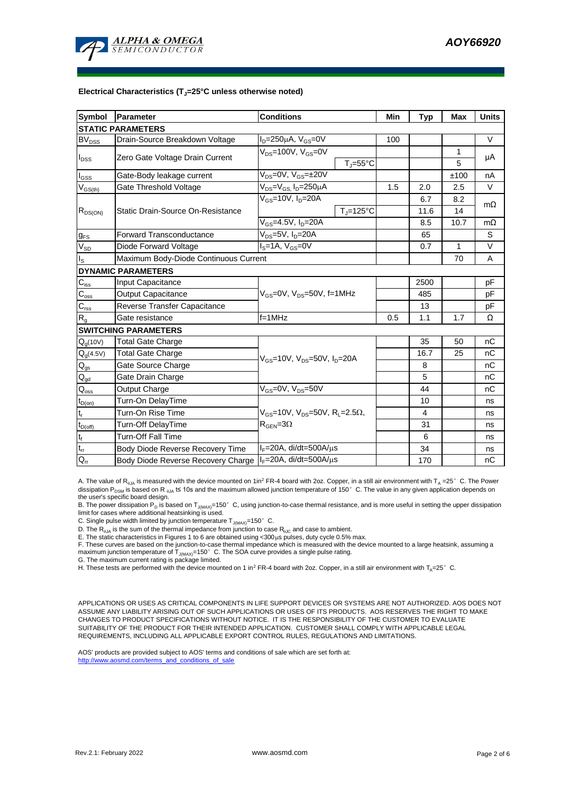

## **Electrical Characteristics (TJ=25°C unless otherwise noted)**

| <b>Symbol</b>               | Parameter                                                  | <b>Conditions</b>                                            | Min | Typ  | Max          | <b>Units</b> |  |  |  |
|-----------------------------|------------------------------------------------------------|--------------------------------------------------------------|-----|------|--------------|--------------|--|--|--|
| <b>STATIC PARAMETERS</b>    |                                                            |                                                              |     |      |              |              |  |  |  |
| $BV_{\underline{DSS}}$      | Drain-Source Breakdown Voltage                             | $I_D = 250 \mu A$ , $V_{GS} = 0V$                            | 100 |      |              | $\vee$       |  |  |  |
| $I_{DSS}$                   | Zero Gate Voltage Drain Current                            | $V_{DS}$ =100V, $V_{GS}$ =0V                                 |     |      | $\mathbf{1}$ | μA           |  |  |  |
|                             |                                                            | $T_i = 55^{\circ}C$                                          |     |      | 5            |              |  |  |  |
| $I_{GSS}$                   | Gate-Body leakage current                                  | $V_{DS} = 0V$ , $V_{GS} = \pm 20V$                           |     |      | ±100         | nA           |  |  |  |
| $V_{GS(th)}$                | Gate Threshold Voltage                                     | $V_{DS} = V_{GS}$ , $I_D = 250 \mu A$                        | 1.5 | 2.0  | 2.5          | $\vee$       |  |  |  |
| $R_{DS(ON)}$                | Static Drain-Source On-Resistance                          | $V_{GS}$ =10V, $I_D$ =20A                                    |     | 6.7  | 8.2          | $m\Omega$    |  |  |  |
|                             |                                                            | $T_J = 125$ °C                                               |     | 11.6 | 14           |              |  |  |  |
|                             |                                                            | $\overline{V_{GS}}$ =4.5V, $I_{D}$ =20A                      |     | 8.5  | 10.7         | $m\Omega$    |  |  |  |
| $g_{FS}$                    | <b>Forward Transconductance</b>                            | $V_{DS} = 5V$ , $I_D = 20A$                                  |     | 65   |              | S            |  |  |  |
| $V_{SD}$                    | Diode Forward Voltage                                      | $IS=1A, VGS=0V$                                              |     | 0.7  | 1            | V            |  |  |  |
| $I_{\rm S}$                 | Maximum Body-Diode Continuous Current                      |                                                              |     |      | 70           | A            |  |  |  |
|                             | <b>DYNAMIC PARAMETERS</b>                                  |                                                              |     |      |              |              |  |  |  |
| $\mathbf{C}_{\text{iss}}$   | Input Capacitance                                          |                                                              |     | 2500 |              | pF           |  |  |  |
| $\mathbf{C}_{\mathrm{oss}}$ | <b>Output Capacitance</b>                                  | $V_{GS}$ =0V, $V_{DS}$ =50V, f=1MHz                          |     | 485  |              | pF           |  |  |  |
| $C_{\text{rss}}$            | Reverse Transfer Capacitance                               |                                                              |     | 13   |              | pF           |  |  |  |
| R <sub>g</sub>              | Gate resistance                                            | $f = 1$ MHz                                                  | 0.5 | 1.1  | 1.7          | Ω            |  |  |  |
|                             | <b>SWITCHING PARAMETERS</b>                                |                                                              |     |      |              |              |  |  |  |
| $Q_g(10V)$                  | <b>Total Gate Charge</b>                                   |                                                              |     | 35   | 50           | nC           |  |  |  |
| $Q_q(4.5V)$                 | <b>Total Gate Charge</b>                                   |                                                              |     | 16.7 | 25           | nC           |  |  |  |
| $\mathsf{Q}_{\mathsf{gs}}$  | Gate Source Charge                                         | $V_{GS}$ =10V, $V_{DS}$ =50V, $I_{D}$ =20A                   |     | 8    |              | nC           |  |  |  |
| $\mathbf{Q}_{\text{gd}}$    | Gate Drain Charge                                          |                                                              |     | 5    |              | nC           |  |  |  |
| $\mathsf{Q}_{\text{oss}}$   | <b>Output Charge</b>                                       | $V_{GS}$ =0V, $V_{DS}$ =50V                                  |     | 44   |              | nC           |  |  |  |
| $t_{D(on)}$                 | Turn-On DelayTime                                          |                                                              |     | 10   |              | ns           |  |  |  |
| $t_r$                       | Turn-On Rise Time                                          | $V_{GS}$ =10V, $V_{DS}$ =50V, R <sub>1</sub> =2.5 $\Omega$ , |     | 4    |              | ns           |  |  |  |
| $t_{D(off)}$                | <b>Turn-Off DelayTime</b>                                  | $R_{\text{GEN}} = 3\Omega$                                   |     | 31   |              | ns           |  |  |  |
|                             | <b>Turn-Off Fall Time</b>                                  |                                                              |     | 6    |              | ns           |  |  |  |
| $\frac{t_f}{t_{rr}}$        | Body Diode Reverse Recovery Time                           | $I_F = 20A$ , di/dt=500A/ $\mu$ s                            |     | 34   |              | ns           |  |  |  |
|                             | Body Diode Reverse Recovery Charge   IF=20A, di/dt=500A/µs |                                                              |     | 170  |              | nC           |  |  |  |

A. The value of R<sub>ala</sub> is measured with the device mounted on 1in<sup>2</sup> FR-4 board with 2oz. Copper, in a still air environment with T<sub>a</sub> =25°C. The Power dissipation P<sub>DSM</sub> is based on R  $_{0.0A}$  t≤ 10s and the maximum allowed junction temperature of 150°C. The value in any given application depends on the user's specific board design.

B. The power dissipation P<sub>D</sub> is based on T<sub>J(MAX)</sub>=150°C, using junction-to-case thermal resistance, and is more useful in setting the upper dissipation limit for cases where additional heatsinking is used.

C. Single pulse width limited by junction temperature  $T_{J(MAX)}$ =150°C.

D. The R<sub>θJA</sub> is the sum of the thermal impedance from junction to case R<sub>θJC</sub> and case to ambient.<br>E. The static characteristics in Figures 1 to 6 are obtained using <300μs pulses, duty cycle 0.5% max.<br>F. These curves ar maximum junction temperature of  $T_{J(MAX)}$ =150°C. The SOA curve provides a single pulse rating.

G. The maximum current rating is package limited.

H. These tests are performed with the device mounted on 1 in<sup>2</sup> FR-4 board with 2oz. Copper, in a still air environment with T<sub>A</sub>=25°C.

APPLICATIONS OR USES AS CRITICAL COMPONENTS IN LIFE SUPPORT DEVICES OR SYSTEMS ARE NOT AUTHORIZED. AOS DOES NOT ASSUME ANY LIABILITY ARISING OUT OF SUCH APPLICATIONS OR USES OF ITS PRODUCTS. AOS RESERVES THE RIGHT TO MAKE CHANGES TO PRODUCT SPECIFICATIONS WITHOUT NOTICE. IT IS THE RESPONSIBILITY OF THE CUSTOMER TO EVALUATE SUITABILITY OF THE PRODUCT FOR THEIR INTENDED APPLICATION. CUSTOMER SHALL COMPLY WITH APPLICABLE LEGAL REQUIREMENTS, INCLUDING ALL APPLICABLE EXPORT CONTROL RULES, REGULATIONS AND LIMITATIONS.

AOS' products are provided subject to AOS' terms and conditions of sale which are set forth at: http://www.aosmd.com/terms\_and\_conditions\_of\_sale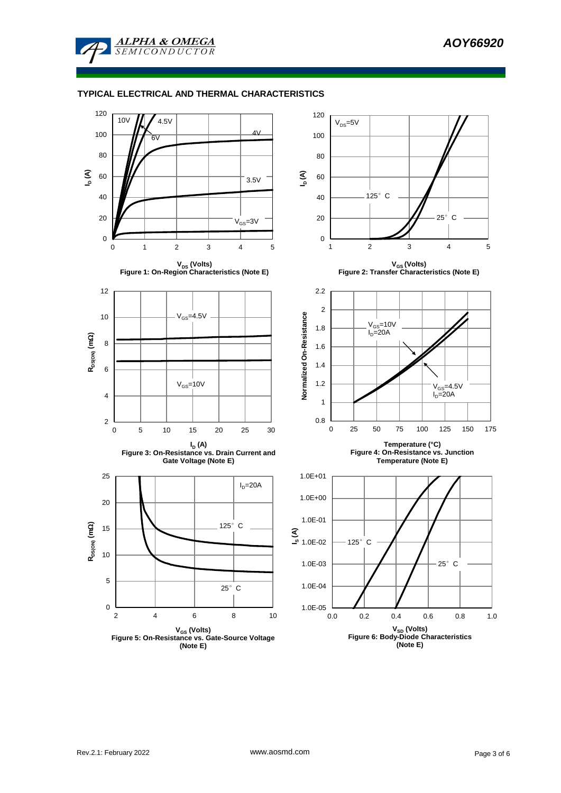

**ALPHA & OMEGA SEMICONDUCTOR** 

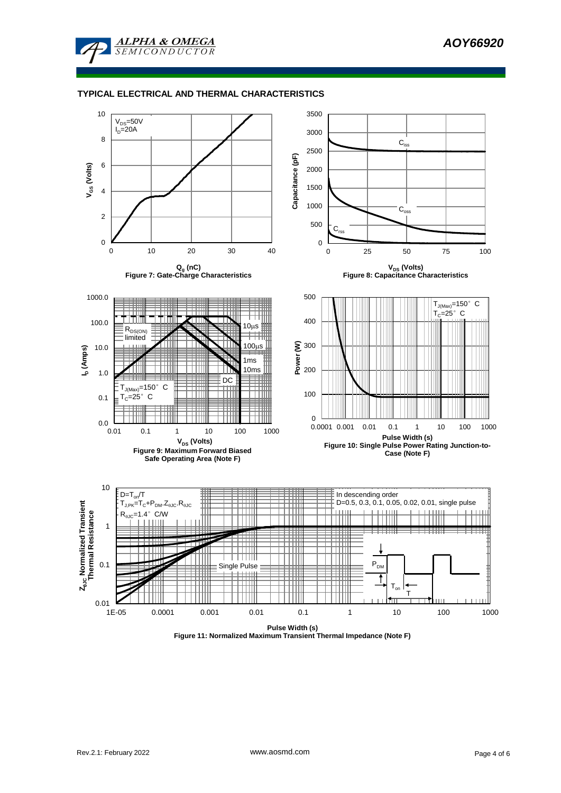

## **TYPICAL ELECTRICAL AND THERMAL CHARACTERISTICS**

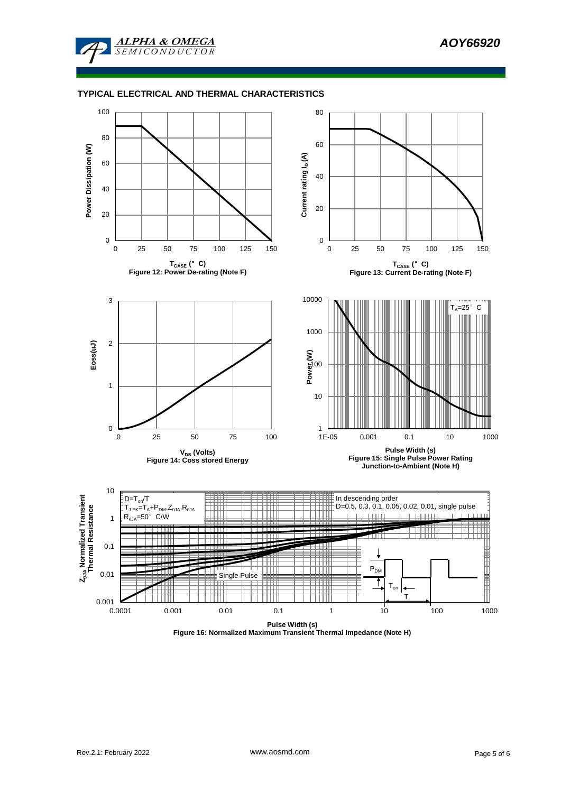

## **TYPICAL ELECTRICAL AND THERMAL CHARACTERISTICS**